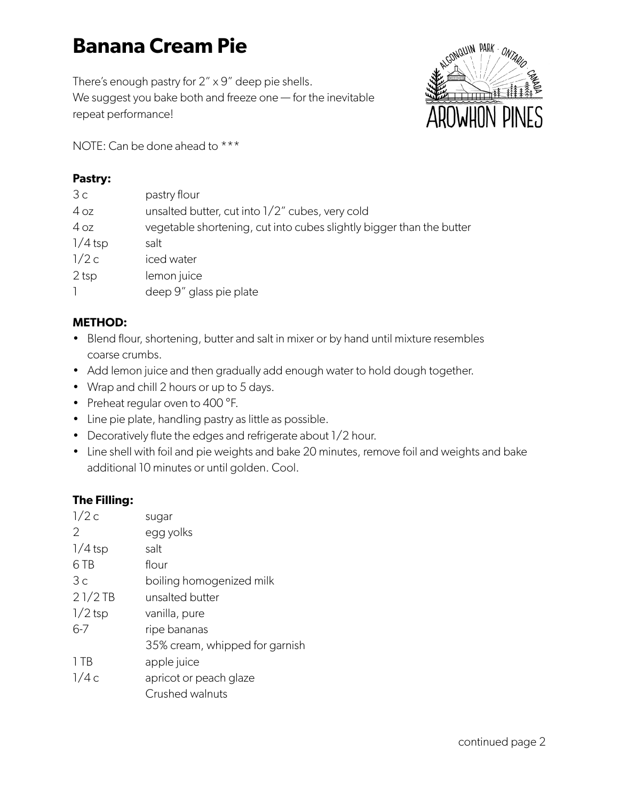# **Banana Cream Pie**

There's enough pastry for 2" x 9" deep pie shells. We suggest you bake both and freeze one — for the inevitable repeat performance!



NOTE: Can be done ahead to \*\*\*

#### **Pastry:**

| 3c               | pastry flour                                                         |
|------------------|----------------------------------------------------------------------|
| 4 oz             | unsalted butter, cut into 1/2" cubes, very cold                      |
| 4 oz             | vegetable shortening, cut into cubes slightly bigger than the butter |
| $1/4$ tsp        | salt                                                                 |
| 1/2c             | iced water                                                           |
| 2 <sub>tsp</sub> | lemon juice                                                          |
|                  | deep 9" glass pie plate                                              |

### **METHOD:**

- Blend flour, shortening, butter and salt in mixer or by hand until mixture resembles coarse crumbs.
- Add lemon juice and then gradually add enough water to hold dough together.
- Wrap and chill 2 hours or up to 5 days.
- Preheat regular oven to 400 °F.
- Line pie plate, handling pastry as little as possible.
- Decoratively flute the edges and refrigerate about 1/2 hour.
- Line shell with foil and pie weights and bake 20 minutes, remove foil and weights and bake additional 10 minutes or until golden. Cool.

#### **The Filling:**

| sugar                          |
|--------------------------------|
| egg yolks                      |
| salt                           |
| flour                          |
| boiling homogenized milk       |
| unsalted butter                |
| vanilla, pure                  |
| ripe bananas                   |
| 35% cream, whipped for garnish |
| apple juice                    |
| apricot or peach glaze         |
| Crushed walnuts                |
|                                |